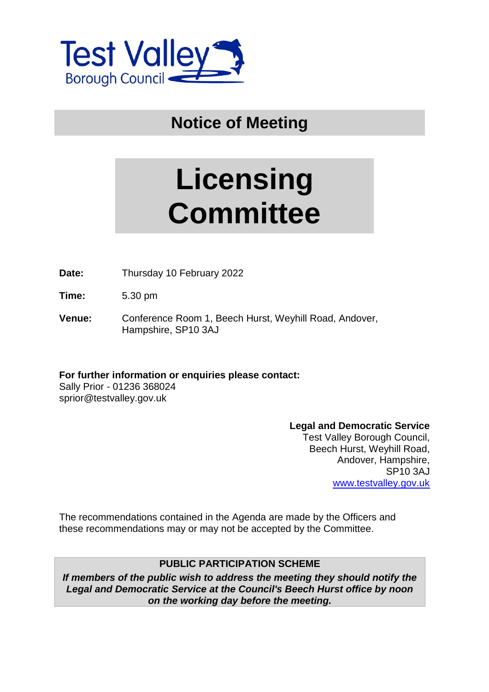

**Notice of Meeting**

# **Licensing Committee**

**Date:** Thursday 10 February 2022

**Time:** 5.30 pm

**Venue:** Conference Room 1, Beech Hurst, Weyhill Road, Andover, Hampshire, SP10 3AJ

**For further information or enquiries please contact:**

Sally Prior - 01236 368024 sprior@testvalley.gov.uk

#### **Legal and Democratic Service**

Test Valley Borough Council, Beech Hurst, Weyhill Road, Andover, Hampshire, SP10 3AJ [www.testvalley.gov.uk](http://www.testvalley.gov.uk/)

The recommendations contained in the Agenda are made by the Officers and these recommendations may or may not be accepted by the Committee.

## **PUBLIC PARTICIPATION SCHEME**

*If members of the public wish to address the meeting they should notify the Legal and Democratic Service at the Council's Beech Hurst office by noon on the working day before the meeting.*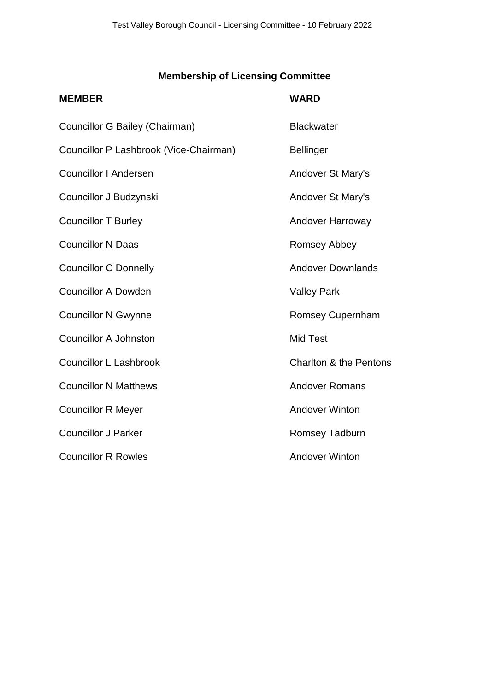# **Membership of Licensing Committee**

| <b>MEMBER</b>                          | <b>WARD</b>                       |
|----------------------------------------|-----------------------------------|
| Councillor G Bailey (Chairman)         | <b>Blackwater</b>                 |
| Councillor P Lashbrook (Vice-Chairman) | <b>Bellinger</b>                  |
| <b>Councillor I Andersen</b>           | Andover St Mary's                 |
| Councillor J Budzynski                 | Andover St Mary's                 |
| <b>Councillor T Burley</b>             | Andover Harroway                  |
| <b>Councillor N Daas</b>               | <b>Romsey Abbey</b>               |
| <b>Councillor C Donnelly</b>           | <b>Andover Downlands</b>          |
| <b>Councillor A Dowden</b>             | <b>Valley Park</b>                |
| <b>Councillor N Gwynne</b>             | <b>Romsey Cupernham</b>           |
| <b>Councillor A Johnston</b>           | <b>Mid Test</b>                   |
| <b>Councillor L Lashbrook</b>          | <b>Charlton &amp; the Pentons</b> |
| <b>Councillor N Matthews</b>           | <b>Andover Romans</b>             |
| <b>Councillor R Meyer</b>              | <b>Andover Winton</b>             |
| <b>Councillor J Parker</b>             | <b>Romsey Tadburn</b>             |
| <b>Councillor R Rowles</b>             | <b>Andover Winton</b>             |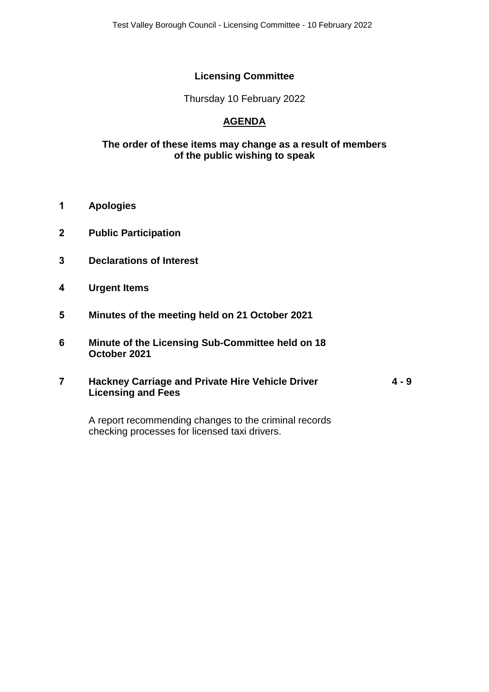## **Licensing Committee**

Thursday 10 February 2022

## **AGENDA**

#### **The order of these items may change as a result of members of the public wishing to speak**

- **1 Apologies**
- **2 Public Participation**
- **3 Declarations of Interest**
- **4 Urgent Items**
- **5 Minutes of the meeting held on 21 October 2021**
- **6 Minute of the Licensing Sub-Committee held on 18 October 2021**
- **7 Hackney Carriage and Private Hire Vehicle Driver Licensing and Fees 4 - 9**

A report recommending changes to the criminal records checking processes for licensed taxi drivers.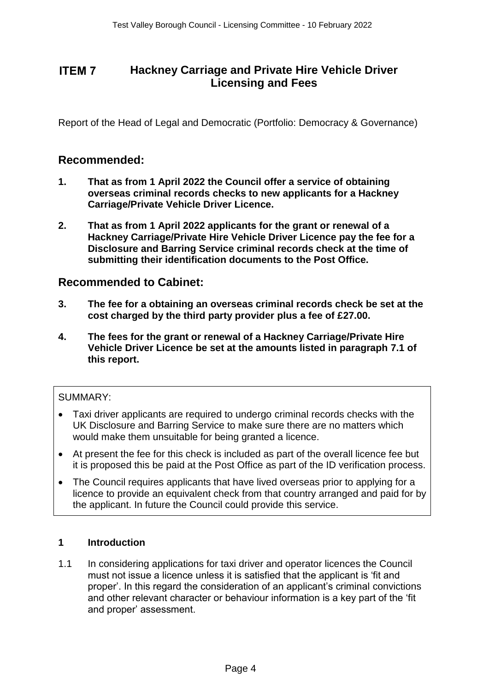# **Hackney Carriage and Private Hire Vehicle Driver Licensing and Fees**

Report of the Head of Legal and Democratic (Portfolio: Democracy & Governance)

## **Recommended:**

- **1. That as from 1 April 2022 the Council offer a service of obtaining overseas criminal records checks to new applicants for a Hackney Carriage/Private Vehicle Driver Licence.**
- **2. That as from 1 April 2022 applicants for the grant or renewal of a Hackney Carriage/Private Hire Vehicle Driver Licence pay the fee for a Disclosure and Barring Service criminal records check at the time of submitting their identification documents to the Post Office.**

## **Recommended to Cabinet:**

- **3. The fee for a obtaining an overseas criminal records check be set at the cost charged by the third party provider plus a fee of £27.00.**
- **4. The fees for the grant or renewal of a Hackney Carriage/Private Hire Vehicle Driver Licence be set at the amounts listed in paragraph 7.1 of this report.**

#### SUMMARY:

- Taxi driver applicants are required to undergo criminal records checks with the UK Disclosure and Barring Service to make sure there are no matters which would make them unsuitable for being granted a licence.
- At present the fee for this check is included as part of the overall licence fee but it is proposed this be paid at the Post Office as part of the ID verification process.
- The Council requires applicants that have lived overseas prior to applying for a licence to provide an equivalent check from that country arranged and paid for by the applicant. In future the Council could provide this service.

#### **1 Introduction**

1.1 In considering applications for taxi driver and operator licences the Council must not issue a licence unless it is satisfied that the applicant is 'fit and proper'. In this regard the consideration of an applicant's criminal convictions and other relevant character or behaviour information is a key part of the 'fit and proper' assessment. **ITEM 7**<br> **Example 7 The Confidential Control Control Control Control Control Control Control Control Control Control Control Control Control Control Control Control Control Control Control Control Control Control Control**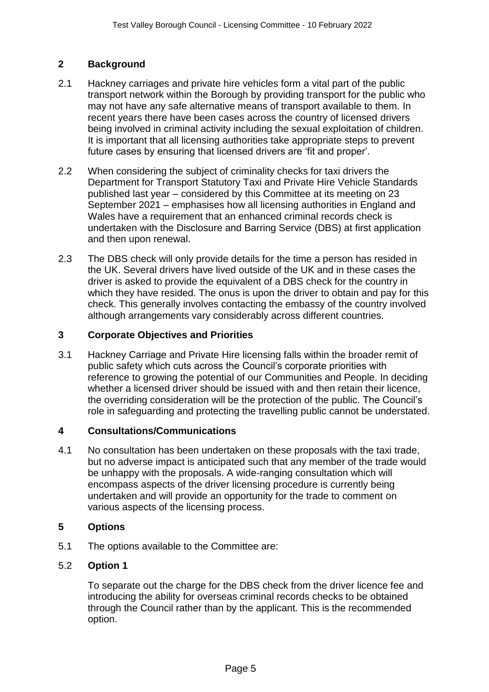## **2 Background**

- 2.1 Hackney carriages and private hire vehicles form a vital part of the public transport network within the Borough by providing transport for the public who may not have any safe alternative means of transport available to them. In recent years there have been cases across the country of licensed drivers being involved in criminal activity including the sexual exploitation of children. It is important that all licensing authorities take appropriate steps to prevent future cases by ensuring that licensed drivers are 'fit and proper'.
- 2.2 When considering the subject of criminality checks for taxi drivers the Department for Transport Statutory Taxi and Private Hire Vehicle Standards published last year – considered by this Committee at its meeting on 23 September 2021 – emphasises how all licensing authorities in England and Wales have a requirement that an enhanced criminal records check is undertaken with the Disclosure and Barring Service (DBS) at first application and then upon renewal.
- 2.3 The DBS check will only provide details for the time a person has resided in the UK. Several drivers have lived outside of the UK and in these cases the driver is asked to provide the equivalent of a DBS check for the country in which they have resided. The onus is upon the driver to obtain and pay for this check. This generally involves contacting the embassy of the country involved although arrangements vary considerably across different countries.

## **3 Corporate Objectives and Priorities**

3.1 Hackney Carriage and Private Hire licensing falls within the broader remit of public safety which cuts across the Council's corporate priorities with reference to growing the potential of our Communities and People. In deciding whether a licensed driver should be issued with and then retain their licence, the overriding consideration will be the protection of the public. The Council's role in safeguarding and protecting the travelling public cannot be understated.

#### **4 Consultations/Communications**

4.1 No consultation has been undertaken on these proposals with the taxi trade, but no adverse impact is anticipated such that any member of the trade would be unhappy with the proposals. A wide-ranging consultation which will encompass aspects of the driver licensing procedure is currently being undertaken and will provide an opportunity for the trade to comment on various aspects of the licensing process.

#### **5 Options**

5.1 The options available to the Committee are:

#### 5.2 **Option 1**

To separate out the charge for the DBS check from the driver licence fee and introducing the ability for overseas criminal records checks to be obtained through the Council rather than by the applicant. This is the recommended option.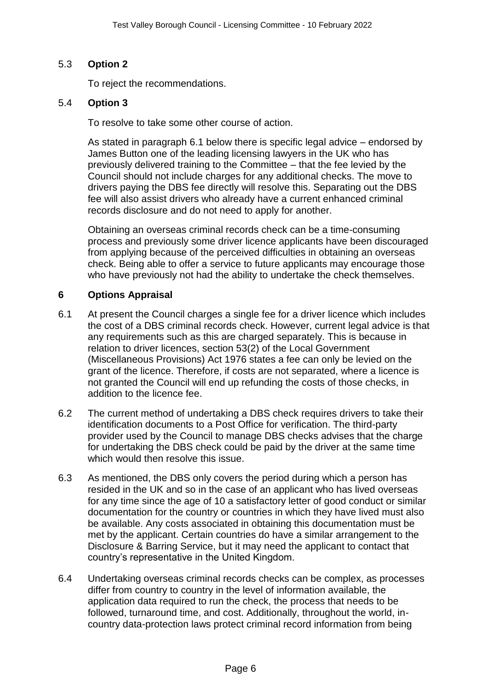## 5.3 **Option 2**

To reject the recommendations.

#### 5.4 **Option 3**

To resolve to take some other course of action.

As stated in paragraph 6.1 below there is specific legal advice – endorsed by James Button one of the leading licensing lawyers in the UK who has previously delivered training to the Committee – that the fee levied by the Council should not include charges for any additional checks. The move to drivers paying the DBS fee directly will resolve this. Separating out the DBS fee will also assist drivers who already have a current enhanced criminal records disclosure and do not need to apply for another.

Obtaining an overseas criminal records check can be a time-consuming process and previously some driver licence applicants have been discouraged from applying because of the perceived difficulties in obtaining an overseas check. Being able to offer a service to future applicants may encourage those who have previously not had the ability to undertake the check themselves.

#### **6 Options Appraisal**

- 6.1 At present the Council charges a single fee for a driver licence which includes the cost of a DBS criminal records check. However, current legal advice is that any requirements such as this are charged separately. This is because in relation to driver licences, section 53(2) of the Local Government (Miscellaneous Provisions) Act 1976 states a fee can only be levied on the grant of the licence. Therefore, if costs are not separated, where a licence is not granted the Council will end up refunding the costs of those checks, in addition to the licence fee.
- 6.2 The current method of undertaking a DBS check requires drivers to take their identification documents to a Post Office for verification. The third-party provider used by the Council to manage DBS checks advises that the charge for undertaking the DBS check could be paid by the driver at the same time which would then resolve this issue.
- 6.3 As mentioned, the DBS only covers the period during which a person has resided in the UK and so in the case of an applicant who has lived overseas for any time since the age of 10 a satisfactory letter of good conduct or similar documentation for the country or countries in which they have lived must also be available. Any costs associated in obtaining this documentation must be met by the applicant. Certain countries do have a similar arrangement to the Disclosure & Barring Service, but it may need the applicant to contact that country's representative in the United Kingdom.
- 6.4 Undertaking overseas criminal records checks can be complex, as processes differ from country to country in the level of information available, the application data required to run the check, the process that needs to be followed, turnaround time, and cost. Additionally, throughout the world, incountry data-protection laws protect criminal record information from being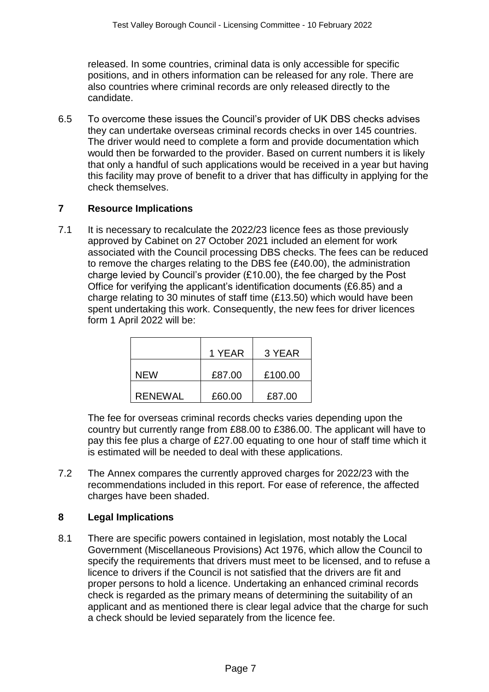released. In some countries, criminal data is only accessible for specific positions, and in others information can be released for any role. There are also countries where criminal records are only released directly to the candidate.

6.5 To overcome these issues the Council's provider of UK DBS checks advises they can undertake overseas criminal records checks in over 145 countries. The driver would need to complete a form and provide documentation which would then be forwarded to the provider. Based on current numbers it is likely that only a handful of such applications would be received in a year but having this facility may prove of benefit to a driver that has difficulty in applying for the check themselves.

## **7 Resource Implications**

7.1 It is necessary to recalculate the 2022/23 licence fees as those previously approved by Cabinet on 27 October 2021 included an element for work associated with the Council processing DBS checks. The fees can be reduced to remove the charges relating to the DBS fee (£40.00), the administration charge levied by Council's provider (£10.00), the fee charged by the Post Office for verifying the applicant's identification documents (£6.85) and a charge relating to 30 minutes of staff time (£13.50) which would have been spent undertaking this work. Consequently, the new fees for driver licences form 1 April 2022 will be:

|         | 1 YEAR | 3 YEAR  |
|---------|--------|---------|
| NFW     | £87.00 | £100.00 |
| RFNFWAL | £60.00 | £87.00  |

The fee for overseas criminal records checks varies depending upon the country but currently range from £88.00 to £386.00. The applicant will have to pay this fee plus a charge of £27.00 equating to one hour of staff time which it is estimated will be needed to deal with these applications.

7.2 The Annex compares the currently approved charges for 2022/23 with the recommendations included in this report. For ease of reference, the affected charges have been shaded.

## **8 Legal Implications**

8.1 There are specific powers contained in legislation, most notably the Local Government (Miscellaneous Provisions) Act 1976, which allow the Council to specify the requirements that drivers must meet to be licensed, and to refuse a licence to drivers if the Council is not satisfied that the drivers are fit and proper persons to hold a licence. Undertaking an enhanced criminal records check is regarded as the primary means of determining the suitability of an applicant and as mentioned there is clear legal advice that the charge for such a check should be levied separately from the licence fee.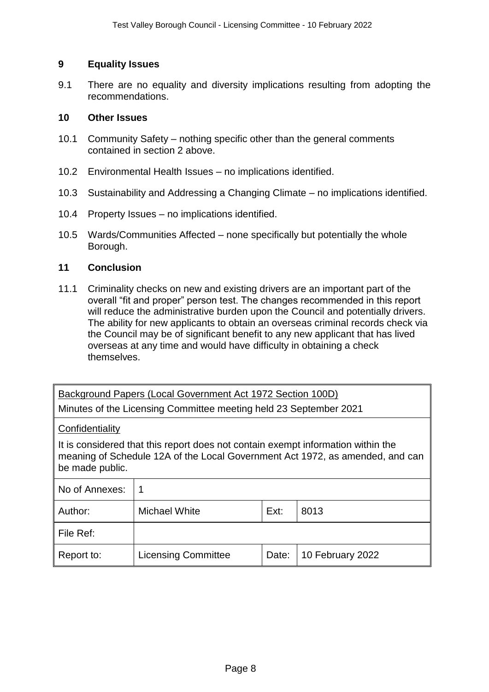#### **9 Equality Issues**

9.1 There are no equality and diversity implications resulting from adopting the recommendations.

#### **10 Other Issues**

- 10.1 Community Safety nothing specific other than the general comments contained in section 2 above.
- 10.2 Environmental Health Issues no implications identified.
- 10.3 Sustainability and Addressing a Changing Climate no implications identified.
- 10.4 Property Issues no implications identified.
- 10.5 Wards/Communities Affected none specifically but potentially the whole Borough.

#### **11 Conclusion**

11.1 Criminality checks on new and existing drivers are an important part of the overall "fit and proper" person test. The changes recommended in this report will reduce the administrative burden upon the Council and potentially drivers. The ability for new applicants to obtain an overseas criminal records check via the Council may be of significant benefit to any new applicant that has lived overseas at any time and would have difficulty in obtaining a check themselves.

Background Papers (Local Government Act 1972 Section 100D)

Minutes of the Licensing Committee meeting held 23 September 2021

#### **Confidentiality**

It is considered that this report does not contain exempt information within the meaning of Schedule 12A of the Local Government Act 1972, as amended, and can be made public.

| No of Annexes: |                            |       |                  |  |
|----------------|----------------------------|-------|------------------|--|
| Author:        | Michael White              | Ext:  | 8013             |  |
| File Ref:      |                            |       |                  |  |
| Report to:     | <b>Licensing Committee</b> | Date: | 10 February 2022 |  |